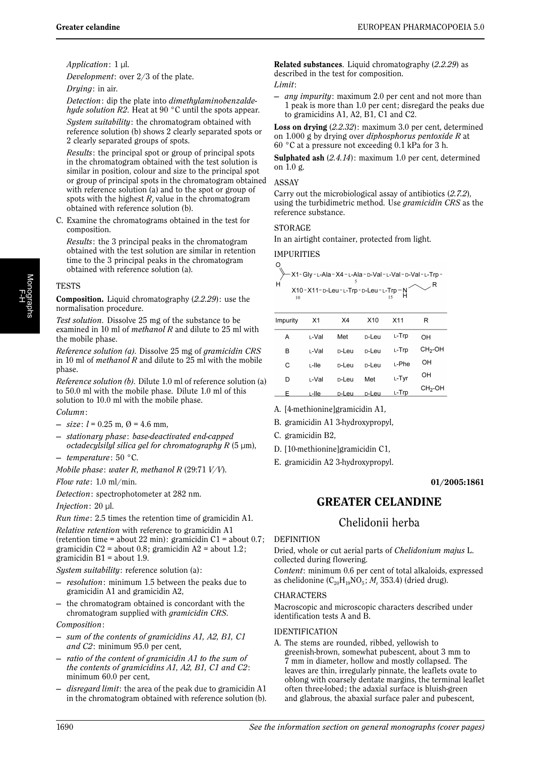$\mathsf{R}$ 

*Application*: 1 µl.

*Development*: over 2/3 of the plate.

*Drying*: in air.

*Detection*: dip the plate into *dimethylaminobenzaldehyde solution R2*. Heat at 90 °C until the spots appear.

*System suitability*: the chromatogram obtained with reference solution (b) shows 2 clearly separated spots or 2 clearly separated groups of spots.

*Results*: the principal spot or group of principal spots in the chromatogram obtained with the test solution is similar in position, colour and size to the principal spot or group of principal spots in the chromatogram obtained with reference solution (a) and to the spot or group of spots with the highest  $R_f$  value in the chromatogram obtained with reference solution (b).

C. Examine the chromatograms obtained in the test for composition.

*Results*: the 3 principal peaks in the chromatogram obtained with the test solution are similar in retention time to the 3 principal peaks in the chromatogram obtained with reference solution (a).

# **TESTS**

**Composition.** Liquid chromatography (*2.2.29*): use the normalisation procedure.

*Test solution*. Dissolve 25 mg of the substance to be examined in 10 ml of *methanol R* and dilute to 25 ml with the mobile phase.

*Reference solution (a)*. Dissolve 25 mg of *gramicidin CRS* in 10 ml of *methanol R* and dilute to 25 ml with the mobile phase.

*Reference solution (b)*. Dilute 1.0 ml of reference solution (a) to 50.0 ml with the mobile phase. Dilute 1.0 ml of this solution to 10.0 ml with the mobile phase.

- *Column*:
- $-$  *size*:  $l = 0.25$  m,  $\emptyset = 4.6$  mm,
- *stationary phase*: *base-deactivated end-capped octadecylsilyl silica gel for chromatography R* (5 µm),
- *temperature*: 50 °C.
- *Mobile phase*: *water R*, *methanol R* (29:71 *V/V*).

*Flow rate*: 1.0 ml/min.

*Detection*: spectrophotometer at 282 nm.

*Injection*: 20 µl.

*Run time*: 2.5 times the retention time of gramicidin A1.

*Relative retention* with reference to gramicidin A1 (retention time = about 22 min): gramicidin  $C1$  = about 0.7; gramicidin C2 = about 0.8; gramicidin A2 = about 1.2; gramicidin  $B1 =$  about 1.9.

*System suitability*: reference solution (a) :

- *resolution*: minimum 1.5 between the peaks due to gramicidin A1 and gramicidin A2,
- the chromatogram obtained is concordant with the chromatogram supplied with *gramicidin CRS*.

*Composition*:

- *sum of the contents of gramicidins A1, A2, B1, C1 and C2*: minimum 95.0 per cent,
- *ratio of the content of gramicidin A1 to the sum of the contents of gramicidins A1, A2, B1, C1 and C2*: minimum 60.0 per cent,
- disregard limit: the area of the peak due to gramicidin A1 in the chromatogram obtained with reference solution (b).

**Related substances**. Liquid chromatography (*2.2.29*) as described in the test for composition. *Limit*:

— *any impurity*: maximum 2.0 per cent and not more than 1 peak is more than 1.0 per cent; disregard the peaks due to gramicidins A1, A2, B1, C1 and C2.

**Loss on drying** (*2.2.32*) : maximum 3.0 per cent, determined on 1.000 g by drying over *diphosphorus pentoxide R* at 60 °C at a pressure not exceeding 0.1 kPa for 3 h.

**Sulphated ash** (*2.4.14*): maximum 1.0 per cent, determined on 1.0 g.

#### ASSAY

Carry out the microbiological assay of antibiotics (*2.7.2*), using the turbidimetric method. Use *gramicidin CRS* as the reference substance.

# **STORAGE**

In an airtight container, protected from light.

# IMPURITIES

$$
X10-X11-D-Leu-L-Trp-D-Leu-L-Trp-N\n\n10\n15\nH
$$

| Impurity | X1     | X4                | X <sub>10</sub>   | X <sub>11</sub> | R                   |
|----------|--------|-------------------|-------------------|-----------------|---------------------|
| A        | ∟-Val  | Met               | <sub>D</sub> -Leu | ∟-Trp           | OН                  |
| в        | ∟-Val  | <sub>D</sub> -Leu | n-Leu             | ∟-Trp           | $CH2$ -OH           |
| С        | L-lle  | n-Leu             | n-Leu             | ∟-Phe           | OН                  |
| D        | ı -Val | <sub>D</sub> -Leu | Met               | L-Tyr           | OН                  |
| F        | L-lle  | D-Leu             | <sub>D</sub> -Leu | L-Trp           | CH <sub>2</sub> -OH |

A. [4-methionine]gramicidin A1,

B. gramicidin A1 3-hydroxypropyl,

- C. gramicidin B2,
- D. [10-methionine]gramicidin C1,
- E. gramicidin A2 3-hydroxypropyl.

# **01/2005:1861**

# **GREATER CELANDINE**

# Chelidonii herba

# DEFINITION

Dried, whole or cut aerial parts of *Chelidonium majus* L. collected during flowering.

*Content*: minimum 0.6 per cent of total alkaloids, expressed as chelidonine  $(C_{20}H_{19}NO_5; M_r 353.4)$  (dried drug).

# CHARACTERS

Macroscopic and microscopic characters described under identification tests A and B.

# IDENTIFICATION

A. The stems are rounded, ribbed, yellowish to greenish-brown, somewhat pubescent, about 3 mm to 7 mm in diameter, hollow and mostly collapsed. The leaves are thin, irregularly pinnate, the leaflets ovate to oblong with coarsely dentate margins, the terminal leaflet often three-lobed ; the adaxial surface is bluish-green and glabrous, the abaxial surface paler and pubescent,